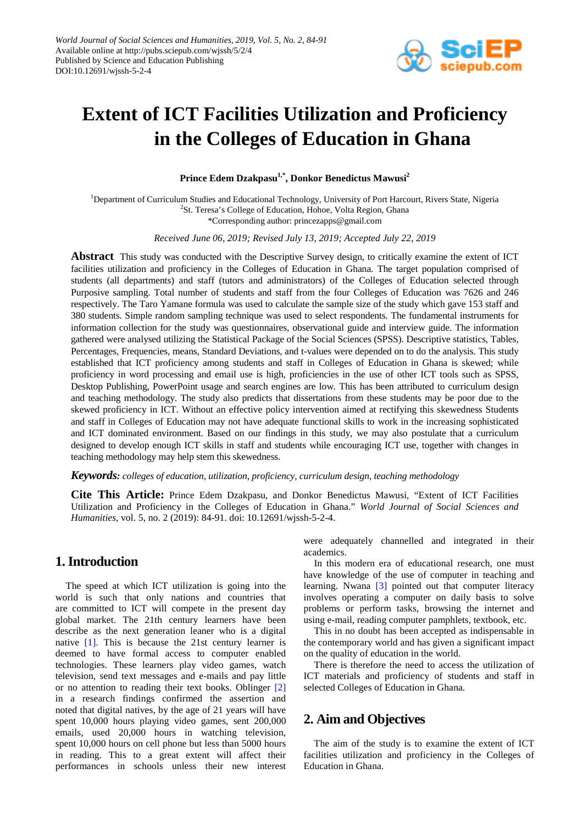

# **Extent of ICT Facilities Utilization and Proficiency in the Colleges of Education in Ghana**

Prince Edem Dzakpasu<sup>1,\*</sup>, Donkor Benedictus Mawusi<sup>2</sup>

<sup>1</sup>Department of Curriculum Studies and Educational Technology, University of Port Harcourt, Rivers State, Nigeria <sup>2</sup>St. Teresa's College of Education, Hohoe, Volta Region, Ghana \*Corresponding author: princezapps@gmail.com

*Received June 06, 2019; Revised July 13, 2019; Accepted July 22, 2019*

**Abstract** This study was conducted with the Descriptive Survey design, to critically examine the extent of ICT facilities utilization and proficiency in the Colleges of Education in Ghana. The target population comprised of students (all departments) and staff (tutors and administrators) of the Colleges of Education selected through Purposive sampling. Total number of students and staff from the four Colleges of Education was 7626 and 246 respectively. The Taro Yamane formula was used to calculate the sample size of the study which gave 153 staff and 380 students. Simple random sampling technique was used to select respondents. The fundamental instruments for information collection for the study was questionnaires, observational guide and interview guide. The information gathered were analysed utilizing the Statistical Package of the Social Sciences (SPSS). Descriptive statistics, Tables, Percentages, Frequencies, means, Standard Deviations, and t-values were depended on to do the analysis. This study established that ICT proficiency among students and staff in Colleges of Education in Ghana is skewed; while proficiency in word processing and email use is high, proficiencies in the use of other ICT tools such as SPSS, Desktop Publishing, PowerPoint usage and search engines are low. This has been attributed to curriculum design and teaching methodology. The study also predicts that dissertations from these students may be poor due to the skewed proficiency in ICT. Without an effective policy intervention aimed at rectifying this skewedness Students and staff in Colleges of Education may not have adequate functional skills to work in the increasing sophisticated and ICT dominated environment. Based on our findings in this study, we may also postulate that a curriculum designed to develop enough ICT skills in staff and students while encouraging ICT use, together with changes in teaching methodology may help stem this skewedness.

*Keywords: colleges of education, utilization, proficiency, curriculum design, teaching methodology*

**Cite This Article:** Prince Edem Dzakpasu, and Donkor Benedictus Mawusi, "Extent of ICT Facilities Utilization and Proficiency in the Colleges of Education in Ghana." *World Journal of Social Sciences and Humanities*, vol. 5, no. 2 (2019): 84-91. doi: 10.12691/wjssh-5-2-4.

# **1. Introduction**

The speed at which ICT utilization is going into the world is such that only nations and countries that are committed to ICT will compete in the present day global market. The 21th century learners have been describe as the next generation leaner who is a digital native [\[1\].](#page-6-0) This is because the 21st century learner is deemed to have formal access to computer enabled technologies. These learners play video games, watch television, send text messages and e-mails and pay little or no attention to reading their text books. Oblinger [\[2\]](#page-6-1) in a research findings confirmed the assertion and noted that digital natives, by the age of 21 years will have spent 10,000 hours playing video games, sent 200,000 emails, used 20,000 hours in watching television, spent 10,000 hours on cell phone but less than 5000 hours in reading. This to a great extent will affect their performances in schools unless their new interest

were adequately channelled and integrated in their academics.

In this modern era of educational research, one must have knowledge of the use of computer in teaching and learning. Nwana [\[3\]](#page-6-2) pointed out that computer literacy involves operating a computer on daily basis to solve problems or perform tasks, browsing the internet and using e-mail, reading computer pamphlets, textbook, etc.

This in no doubt has been accepted as indispensable in the contemporary world and has given a significant impact on the quality of education in the world.

There is therefore the need to access the utilization of ICT materials and proficiency of students and staff in selected Colleges of Education in Ghana.

# **2. Aim and Objectives**

The aim of the study is to examine the extent of ICT facilities utilization and proficiency in the Colleges of Education in Ghana.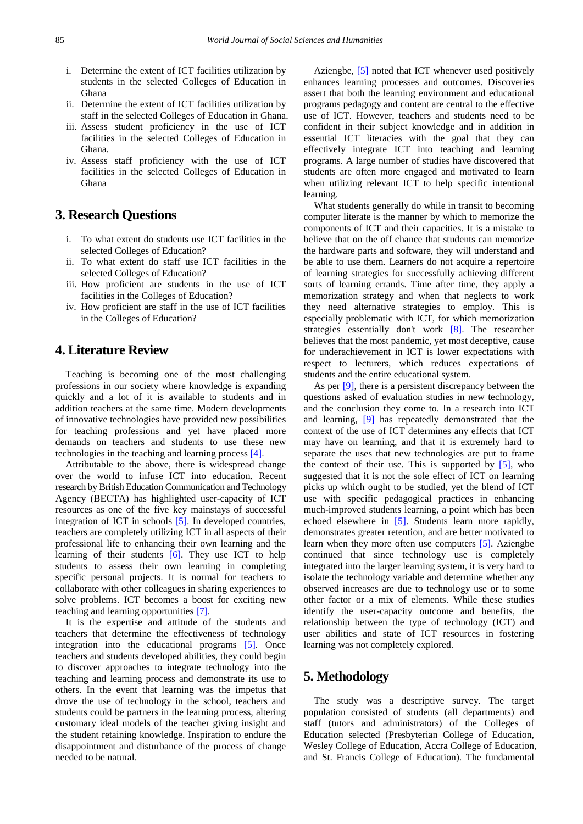- i. Determine the extent of ICT facilities utilization by students in the selected Colleges of Education in Ghana
- ii. Determine the extent of ICT facilities utilization by staff in the selected Colleges of Education in Ghana.
- iii. Assess student proficiency in the use of ICT facilities in the selected Colleges of Education in Ghana.
- iv. Assess staff proficiency with the use of ICT facilities in the selected Colleges of Education in Ghana

# **3. Research Questions**

- i. To what extent do students use ICT facilities in the selected Colleges of Education?
- ii. To what extent do staff use ICT facilities in the selected Colleges of Education?
- iii. How proficient are students in the use of ICT facilities in the Colleges of Education?
- iv. How proficient are staff in the use of ICT facilities in the Colleges of Education?

## **4. Literature Review**

Teaching is becoming one of the most challenging professions in our society where knowledge is expanding quickly and a lot of it is available to students and in addition teachers at the same time. Modern developments of innovative technologies have provided new possibilities for teaching professions and yet have placed more demands on teachers and students to use these new technologies in the teaching and learning process [\[4\].](#page-6-3) 

Attributable to the above, there is widespread change over the world to infuse ICT into education. Recent research by British Education Communication and Technology Agency (BECTA) has highlighted user-capacity of ICT resources as one of the five key mainstays of successful integration of ICT in schools [\[5\].](#page-6-4) In developed countries, teachers are completely utilizing ICT in all aspects of their professional life to enhancing their own learning and the learning of their students  $[6]$ . They use ICT to help students to assess their own learning in completing specific personal projects. It is normal for teachers to collaborate with other colleagues in sharing experiences to solve problems. ICT becomes a boost for exciting new teaching and learning opportunities [\[7\].](#page-6-6)

It is the expertise and attitude of the students and teachers that determine the effectiveness of technology integration into the educational programs [\[5\].](#page-6-4) Once teachers and students developed abilities, they could begin to discover approaches to integrate technology into the teaching and learning process and demonstrate its use to others. In the event that learning was the impetus that drove the use of technology in the school, teachers and students could be partners in the learning process, altering customary ideal models of the teacher giving insight and the student retaining knowledge. Inspiration to endure the disappointment and disturbance of the process of change needed to be natural.

Aziengbe, [\[5\]](#page-6-4) noted that ICT whenever used positively enhances learning processes and outcomes. Discoveries assert that both the learning environment and educational programs pedagogy and content are central to the effective use of ICT. However, teachers and students need to be confident in their subject knowledge and in addition in essential ICT literacies with the goal that they can effectively integrate ICT into teaching and learning programs. A large number of studies have discovered that students are often more engaged and motivated to learn when utilizing relevant ICT to help specific intentional learning.

What students generally do while in transit to becoming computer literate is the manner by which to memorize the components of ICT and their capacities. It is a mistake to believe that on the off chance that students can memorize the hardware parts and software, they will understand and be able to use them. Learners do not acquire a repertoire of learning strategies for successfully achieving different sorts of learning errands. Time after time, they apply a memorization strategy and when that neglects to work they need alternative strategies to employ. This is especially problematic with ICT, for which memorization strategies essentially don't work [\[8\].](#page-6-7) The researcher believes that the most pandemic, yet most deceptive, cause for underachievement in ICT is lower expectations with respect to lecturers, which reduces expectations of students and the entire educational system.

As per [\[9\],](#page-6-8) there is a persistent discrepancy between the questions asked of evaluation studies in new technology, and the conclusion they come to. In a research into ICT and learning, [\[9\]](#page-6-8) has repeatedly demonstrated that the context of the use of ICT determines any effects that ICT may have on learning, and that it is extremely hard to separate the uses that new technologies are put to frame the context of their use. This is supported by  $[5]$ , who suggested that it is not the sole effect of ICT on learning picks up which ought to be studied, yet the blend of ICT use with specific pedagogical practices in enhancing much-improved students learning, a point which has been echoed elsewhere in [\[5\].](#page-6-4) Students learn more rapidly, demonstrates greater retention, and are better motivated to learn when they more often use computers [\[5\].](#page-6-4) Aziengbe continued that since technology use is completely integrated into the larger learning system, it is very hard to isolate the technology variable and determine whether any observed increases are due to technology use or to some other factor or a mix of elements. While these studies identify the user-capacity outcome and benefits, the relationship between the type of technology (ICT) and user abilities and state of ICT resources in fostering learning was not completely explored.

### **5. Methodology**

The study was a descriptive survey. The target population consisted of students (all departments) and staff (tutors and administrators) of the Colleges of Education selected (Presbyterian College of Education, Wesley College of Education, Accra College of Education, and St. Francis College of Education). The fundamental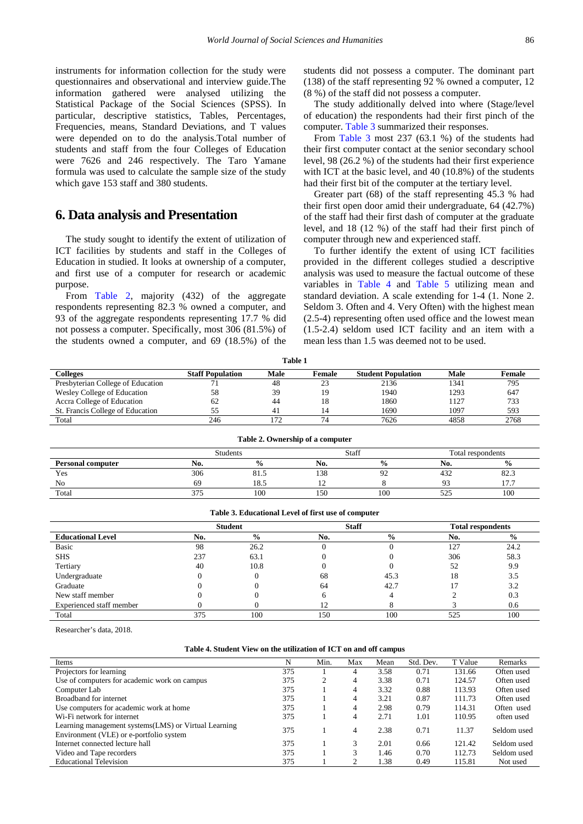instruments for information collection for the study were questionnaires and observational and interview guide.The information gathered were analysed utilizing the Statistical Package of the Social Sciences (SPSS). In particular, descriptive statistics, Tables, Percentages, Frequencies, means, Standard Deviations, and T values were depended on to do the analysis.Total number of students and staff from the four Colleges of Education were 7626 and 246 respectively. The Taro Yamane formula was used to calculate the sample size of the study which gave 153 staff and 380 students.

### **6. Data analysis and Presentation**

The study sought to identify the extent of utilization of ICT facilities by students and staff in the Colleges of Education in studied. It looks at ownership of a computer, and first use of a computer for research or academic purpose.

From [Table 2,](#page-2-0) majority (432) of the aggregate respondents representing 82.3 % owned a computer, and 93 of the aggregate respondents representing 17.7 % did not possess a computer. Specifically, most 306 (81.5%) of the students owned a computer, and 69 (18.5%) of the students did not possess a computer. The dominant part (138) of the staff representing 92 % owned a computer, 12 (8 %) of the staff did not possess a computer.

The study additionally delved into where (Stage/level of education) the respondents had their first pinch of the computer. [Table 3](#page-2-1) summarized their responses.

From [Table 3](#page-2-1) most 237 (63.1 %) of the students had their first computer contact at the senior secondary school level, 98 (26.2 %) of the students had their first experience with ICT at the basic level, and 40 (10.8%) of the students had their first bit of the computer at the tertiary level.

Greater part (68) of the staff representing 45.3 % had their first open door amid their undergraduate, 64 (42.7%) of the staff had their first dash of computer at the graduate level, and 18 (12 %) of the staff had their first pinch of computer through new and experienced staff.

To further identify the extent of using ICT facilities provided in the different colleges studied a descriptive analysis was used to measure the factual outcome of these variables in [Table 4](#page-2-2) and [Table 5](#page-3-0) utilizing mean and standard deviation. A scale extending for 1-4 (1. None 2. Seldom 3. Often and 4. Very Often) with the highest mean (2.5-4) representing often used office and the lowest mean (1.5-2.4) seldom used ICT facility and an item with a mean less than 1.5 was deemed not to be used.

| Colleges                          | <b>Staff Population</b> | Male | Female | <b>Student Population</b> | Male | Female |
|-----------------------------------|-------------------------|------|--------|---------------------------|------|--------|
| Presbyterian College of Education |                         | 48   | 23     | 2136                      | 1341 | 795    |
| Wesley College of Education       | 58                      | 39   | 19     | 1940                      | 1293 | 647    |
| Accra College of Education        | 62                      | 44   | 18     | 1860                      | 1127 | 733    |
| St. Francis College of Education  |                         | 41   |        | 1690                      | 1097 | 593    |
| Total                             | 246                     |      |        | 7626                      | 4858 | 2768   |

<span id="page-2-0"></span>

|                          | $1400C = 0.01010H$ |                    |     |               |     |                   |  |  |  |  |
|--------------------------|--------------------|--------------------|-----|---------------|-----|-------------------|--|--|--|--|
|                          |                    | Students           |     | Staff         |     | Total respondents |  |  |  |  |
| <b>Personal computer</b> | No.                | $\mathbf{0}$<br>70 | No. | $\frac{0}{0}$ | No. | $\frac{0}{0}$     |  |  |  |  |
| Yes                      | 306                | 81.J               | 138 |               | 432 | 82.3              |  |  |  |  |
| No                       | 69                 | 18.5               |     |               | ۵ą  | 17.7              |  |  |  |  |
| Total                    | 375                | 100                | 150 | 100           | 525 | 100               |  |  |  |  |

**Table 2. Ownership of a computer**

#### **Table 3. Educational Level of first use of computer**

<span id="page-2-1"></span>

|                          |     | <b>Student</b> | <b>Staff</b> |      | <b>Total respondents</b> |               |  |
|--------------------------|-----|----------------|--------------|------|--------------------------|---------------|--|
| <b>Educational Level</b> | No. | $\frac{0}{0}$  | No.          | $\%$ | No.                      | $\frac{0}{0}$ |  |
| <b>Basic</b>             | 98  | 26.2           |              |      | 127                      | 24.2          |  |
| <b>SHS</b>               | 237 | 63.1           |              |      | 306                      | 58.3          |  |
| Tertiary                 | 40  | 10.8           |              |      | 52                       | 9.9           |  |
| Undergraduate            |     |                | 68           | 45.3 | 18                       | 3.5           |  |
| Graduate                 |     |                | 64           | 42.7 |                          | 3.2           |  |
| New staff member         |     |                |              |      |                          | 0.3           |  |
| Experienced staff member |     |                |              |      |                          | 0.6           |  |
| Total                    | 375 | 100            | 150          | 100  | 525                      | 100           |  |

Researcher's data, 2018.

#### **Table 4. Student View on the utilization of ICT on and off campus**

<span id="page-2-2"></span>

| N   | Min. | Max | Mean | Std. Dev. | T Value | Remarks     |
|-----|------|-----|------|-----------|---------|-------------|
| 375 |      | 4   | 3.58 | 0.71      | 131.66  | Often used  |
| 375 | 2    | 4   | 3.38 | 0.71      | 124.57  | Often used  |
| 375 |      | 4   | 3.32 | 0.88      | 113.93  | Often used  |
| 375 |      | 4   | 3.21 | 0.87      | 111.73  | Often used  |
| 375 |      | 4   | 2.98 | 0.79      | 114.31  | Often used  |
| 375 |      | 4   | 2.71 | 1.01      | 110.95  | often used  |
|     |      |     |      |           |         | Seldom used |
|     |      |     |      |           |         |             |
| 375 |      | 3   | 2.01 | 0.66      | 121.42  | Seldom used |
| 375 |      | 3   | 1.46 | 0.70      | 112.73  | Seldom used |
| 375 |      |     | 1.38 | 0.49      | 115.81  | Not used    |
|     | 375  |     | 4    | 2.38      | 0.71    | 11.37       |

**Table 1**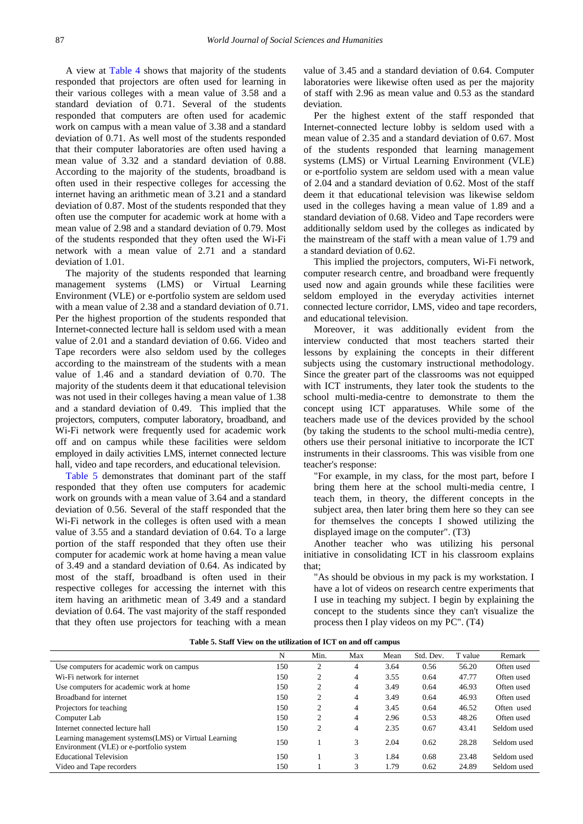A view at [Table 4](#page-2-2) shows that majority of the students responded that projectors are often used for learning in their various colleges with a mean value of 3.58 and a standard deviation of 0.71. Several of the students responded that computers are often used for academic work on campus with a mean value of 3.38 and a standard deviation of 0.71. As well most of the students responded that their computer laboratories are often used having a mean value of 3.32 and a standard deviation of 0.88. According to the majority of the students, broadband is often used in their respective colleges for accessing the internet having an arithmetic mean of 3.21 and a standard deviation of 0.87. Most of the students responded that they often use the computer for academic work at home with a mean value of 2.98 and a standard deviation of 0.79. Most of the students responded that they often used the Wi-Fi network with a mean value of 2.71 and a standard deviation of 1.01.

The majority of the students responded that learning management systems (LMS) or Virtual Learning Environment (VLE) or e-portfolio system are seldom used with a mean value of 2.38 and a standard deviation of 0.71. Per the highest proportion of the students responded that Internet-connected lecture hall is seldom used with a mean value of 2.01 and a standard deviation of 0.66. Video and Tape recorders were also seldom used by the colleges according to the mainstream of the students with a mean value of 1.46 and a standard deviation of 0.70. The majority of the students deem it that educational television was not used in their colleges having a mean value of 1.38 and a standard deviation of 0.49. This implied that the projectors, computers, computer laboratory, broadband, and Wi-Fi network were frequently used for academic work off and on campus while these facilities were seldom employed in daily activities LMS, internet connected lecture hall, video and tape recorders, and educational television.

[Table 5](#page-3-0) demonstrates that dominant part of the staff responded that they often use computers for academic work on grounds with a mean value of 3.64 and a standard deviation of 0.56. Several of the staff responded that the Wi-Fi network in the colleges is often used with a mean value of 3.55 and a standard deviation of 0.64. To a large portion of the staff responded that they often use their computer for academic work at home having a mean value of 3.49 and a standard deviation of 0.64. As indicated by most of the staff, broadband is often used in their respective colleges for accessing the internet with this item having an arithmetic mean of 3.49 and a standard deviation of 0.64. The vast majority of the staff responded that they often use projectors for teaching with a mean

value of 3.45 and a standard deviation of 0.64. Computer laboratories were likewise often used as per the majority of staff with 2.96 as mean value and 0.53 as the standard deviation.

Per the highest extent of the staff responded that Internet-connected lecture lobby is seldom used with a mean value of 2.35 and a standard deviation of 0.67. Most of the students responded that learning management systems (LMS) or Virtual Learning Environment (VLE) or e-portfolio system are seldom used with a mean value of 2.04 and a standard deviation of 0.62. Most of the staff deem it that educational television was likewise seldom used in the colleges having a mean value of 1.89 and a standard deviation of 0.68. Video and Tape recorders were additionally seldom used by the colleges as indicated by the mainstream of the staff with a mean value of 1.79 and a standard deviation of 0.62.

This implied the projectors, computers, Wi-Fi network, computer research centre, and broadband were frequently used now and again grounds while these facilities were seldom employed in the everyday activities internet connected lecture corridor, LMS, video and tape recorders, and educational television.

Moreover, it was additionally evident from the interview conducted that most teachers started their lessons by explaining the concepts in their different subjects using the customary instructional methodology. Since the greater part of the classrooms was not equipped with ICT instruments, they later took the students to the school multi-media-centre to demonstrate to them the concept using ICT apparatuses. While some of the teachers made use of the devices provided by the school (by taking the students to the school multi-media centre), others use their personal initiative to incorporate the ICT instruments in their classrooms. This was visible from one teacher's response:

"For example, in my class, for the most part, before I bring them here at the school multi-media centre, I teach them, in theory, the different concepts in the subject area, then later bring them here so they can see for themselves the concepts I showed utilizing the displayed image on the computer". (T3)

Another teacher who was utilizing his personal initiative in consolidating ICT in his classroom explains that;

"As should be obvious in my pack is my workstation. I have a lot of videos on research centre experiments that I use in teaching my subject. I begin by explaining the concept to the students since they can't visualize the process then I play videos on my PC". (T4)

<span id="page-3-0"></span>

|                                                                                                  | N   | Min.           | Max | Mean | Std. Dev. | T value | Remark      |
|--------------------------------------------------------------------------------------------------|-----|----------------|-----|------|-----------|---------|-------------|
| Use computers for academic work on campus                                                        | 150 | $\overline{c}$ | 4   | 3.64 | 0.56      | 56.20   | Often used  |
| Wi-Fi network for internet                                                                       | 150 | 2              | 4   | 3.55 | 0.64      | 47.77   | Often used  |
| Use computers for academic work at home                                                          | 150 | 2              | 4   | 3.49 | 0.64      | 46.93   | Often used  |
| Broadband for internet                                                                           | 150 | 2              | 4   | 3.49 | 0.64      | 46.93   | Often used  |
| Projectors for teaching                                                                          | 150 | ◠              | 4   | 3.45 | 0.64      | 46.52   | Often used  |
| Computer Lab                                                                                     | 150 | $\overline{c}$ | 4   | 2.96 | 0.53      | 48.26   | Often used  |
| Internet connected lecture hall                                                                  | 150 | $\overline{c}$ | 4   | 2.35 | 0.67      | 43.41   | Seldom used |
| Learning management systems (LMS) or Virtual Learning<br>Environment (VLE) or e-portfolio system | 150 |                | 3   | 2.04 | 0.62      | 28.28   | Seldom used |
| <b>Educational Television</b>                                                                    | 150 |                | 3   | 1.84 | 0.68      | 23.48   | Seldom used |
| Video and Tape recorders                                                                         | 150 |                | 3   | 1.79 | 0.62      | 24.89   | Seldom used |

**Table 5. Staff View on the utilization of ICT on and off campus**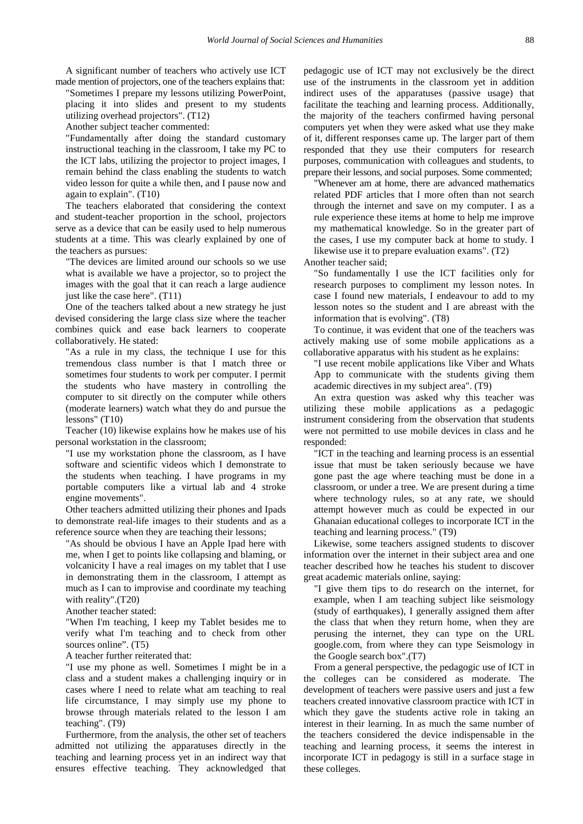A significant number of teachers who actively use ICT made mention of projectors, one of the teachers explains that:

"Sometimes I prepare my lessons utilizing PowerPoint, placing it into slides and present to my students utilizing overhead projectors". (T12)

Another subject teacher commented:

"Fundamentally after doing the standard customary instructional teaching in the classroom, I take my PC to the ICT labs, utilizing the projector to project images, I remain behind the class enabling the students to watch video lesson for quite a while then, and I pause now and again to explain". (T10)

The teachers elaborated that considering the context and student-teacher proportion in the school, projectors serve as a device that can be easily used to help numerous students at a time. This was clearly explained by one of the teachers as pursues:

"The devices are limited around our schools so we use what is available we have a projector, so to project the images with the goal that it can reach a large audience just like the case here". (T11)

One of the teachers talked about a new strategy he just devised considering the large class size where the teacher combines quick and ease back learners to cooperate collaboratively. He stated:

"As a rule in my class, the technique I use for this tremendous class number is that I match three or sometimes four students to work per computer. I permit the students who have mastery in controlling the computer to sit directly on the computer while others (moderate learners) watch what they do and pursue the lessons" (T10)

Teacher (10) likewise explains how he makes use of his personal workstation in the classroom;

"I use my workstation phone the classroom, as I have software and scientific videos which I demonstrate to the students when teaching. I have programs in my portable computers like a virtual lab and 4 stroke engine movements".

Other teachers admitted utilizing their phones and Ipads to demonstrate real-life images to their students and as a reference source when they are teaching their lessons;

"As should be obvious I have an Apple Ipad here with me, when I get to points like collapsing and blaming, or volcanicity I have a real images on my tablet that I use in demonstrating them in the classroom, I attempt as much as I can to improvise and coordinate my teaching with reality".(T20)

Another teacher stated:

"When I'm teaching, I keep my Tablet besides me to verify what I'm teaching and to check from other sources online". (T5)

A teacher further reiterated that:

"I use my phone as well. Sometimes I might be in a class and a student makes a challenging inquiry or in cases where I need to relate what am teaching to real life circumstance, I may simply use my phone to browse through materials related to the lesson I am teaching". (T9)

Furthermore, from the analysis, the other set of teachers admitted not utilizing the apparatuses directly in the teaching and learning process yet in an indirect way that ensures effective teaching. They acknowledged that pedagogic use of ICT may not exclusively be the direct use of the instruments in the classroom yet in addition indirect uses of the apparatuses (passive usage) that facilitate the teaching and learning process. Additionally, the majority of the teachers confirmed having personal computers yet when they were asked what use they make of it, different responses came up. The larger part of them responded that they use their computers for research purposes, communication with colleagues and students, to prepare their lessons, and social purposes. Some commented;

"Whenever am at home, there are advanced mathematics related PDF articles that I more often than not search through the internet and save on my computer. I as a rule experience these items at home to help me improve my mathematical knowledge. So in the greater part of the cases, I use my computer back at home to study. I likewise use it to prepare evaluation exams". (T2)

Another teacher said;

"So fundamentally I use the ICT facilities only for research purposes to compliment my lesson notes. In case I found new materials, I endeavour to add to my lesson notes so the student and I are abreast with the information that is evolving". (T8)

To continue, it was evident that one of the teachers was actively making use of some mobile applications as a collaborative apparatus with his student as he explains:

"I use recent mobile applications like Viber and Whats App to communicate with the students giving them academic directives in my subject area". (T9)

An extra question was asked why this teacher was utilizing these mobile applications as a pedagogic instrument considering from the observation that students were not permitted to use mobile devices in class and he responded:

"ICT in the teaching and learning process is an essential issue that must be taken seriously because we have gone past the age where teaching must be done in a classroom, or under a tree. We are present during a time where technology rules, so at any rate, we should attempt however much as could be expected in our Ghanaian educational colleges to incorporate ICT in the teaching and learning process." (T9)

Likewise, some teachers assigned students to discover information over the internet in their subject area and one teacher described how he teaches his student to discover great academic materials online, saying:

"I give them tips to do research on the internet, for example, when I am teaching subject like seismology (study of earthquakes), I generally assigned them after the class that when they return home, when they are perusing the internet, they can type on the URL google.com, from where they can type Seismology in the Google search box".(T7)

From a general perspective, the pedagogic use of ICT in the colleges can be considered as moderate. The development of teachers were passive users and just a few teachers created innovative classroom practice with ICT in which they gave the students active role in taking an interest in their learning. In as much the same number of the teachers considered the device indispensable in the teaching and learning process, it seems the interest in incorporate ICT in pedagogy is still in a surface stage in these colleges.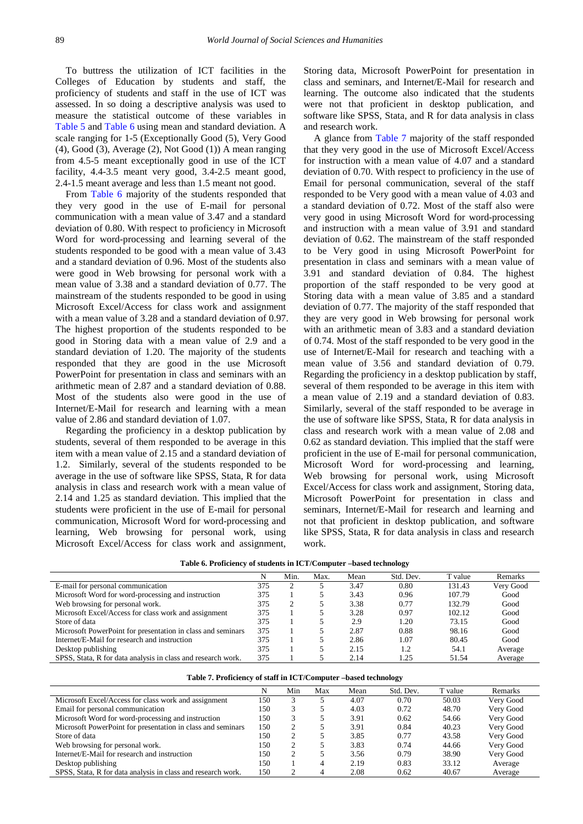To buttress the utilization of ICT facilities in the Colleges of Education by students and staff, the proficiency of students and staff in the use of ICT was assessed. In so doing a descriptive analysis was used to measure the statistical outcome of these variables in [Table 5](#page-3-0) and [Table 6](#page-5-0) using mean and standard deviation. A scale ranging for 1-5 (Exceptionally Good (5), Very Good (4), Good (3), Average (2), Not Good (1)) A mean ranging from 4.5-5 meant exceptionally good in use of the ICT facility, 4.4-3.5 meant very good, 3.4-2.5 meant good, 2.4-1.5 meant average and less than 1.5 meant not good.

From [Table 6](#page-5-0) majority of the students responded that they very good in the use of E-mail for personal communication with a mean value of 3.47 and a standard deviation of 0.80. With respect to proficiency in Microsoft Word for word-processing and learning several of the students responded to be good with a mean value of 3.43 and a standard deviation of 0.96. Most of the students also were good in Web browsing for personal work with a mean value of 3.38 and a standard deviation of 0.77. The mainstream of the students responded to be good in using Microsoft Excel/Access for class work and assignment with a mean value of 3.28 and a standard deviation of 0.97. The highest proportion of the students responded to be good in Storing data with a mean value of 2.9 and a standard deviation of 1.20. The majority of the students responded that they are good in the use Microsoft PowerPoint for presentation in class and seminars with an arithmetic mean of 2.87 and a standard deviation of 0.88. Most of the students also were good in the use of Internet/E-Mail for research and learning with a mean value of 2.86 and standard deviation of 1.07.

Regarding the proficiency in a desktop publication by students, several of them responded to be average in this item with a mean value of 2.15 and a standard deviation of 1.2. Similarly, several of the students responded to be average in the use of software like SPSS, Stata, R for data analysis in class and research work with a mean value of 2.14 and 1.25 as standard deviation. This implied that the students were proficient in the use of E-mail for personal communication, Microsoft Word for word-processing and learning, Web browsing for personal work, using Microsoft Excel/Access for class work and assignment,

Storing data, Microsoft PowerPoint for presentation in class and seminars, and Internet/E-Mail for research and learning. The outcome also indicated that the students were not that proficient in desktop publication, and software like SPSS, Stata, and R for data analysis in class and research work.

A glance from [Table 7](#page-5-1) majority of the staff responded that they very good in the use of Microsoft Excel/Access for instruction with a mean value of 4.07 and a standard deviation of 0.70. With respect to proficiency in the use of Email for personal communication, several of the staff responded to be Very good with a mean value of 4.03 and a standard deviation of 0.72. Most of the staff also were very good in using Microsoft Word for word-processing and instruction with a mean value of 3.91 and standard deviation of 0.62. The mainstream of the staff responded to be Very good in using Microsoft PowerPoint for presentation in class and seminars with a mean value of 3.91 and standard deviation of 0.84. The highest proportion of the staff responded to be very good at Storing data with a mean value of 3.85 and a standard deviation of 0.77. The majority of the staff responded that they are very good in Web browsing for personal work with an arithmetic mean of 3.83 and a standard deviation of 0.74. Most of the staff responded to be very good in the use of Internet/E-Mail for research and teaching with a mean value of 3.56 and standard deviation of 0.79. Regarding the proficiency in a desktop publication by staff, several of them responded to be average in this item with a mean value of 2.19 and a standard deviation of 0.83. Similarly, several of the staff responded to be average in the use of software like SPSS, Stata, R for data analysis in class and research work with a mean value of 2.08 and 0.62 as standard deviation. This implied that the staff were proficient in the use of E-mail for personal communication, Microsoft Word for word-processing and learning, Web browsing for personal work, using Microsoft Excel/Access for class work and assignment, Storing data, Microsoft PowerPoint for presentation in class and seminars, Internet/E-Mail for research and learning and not that proficient in desktop publication, and software like SPSS, Stata, R for data analysis in class and research work.

<span id="page-5-0"></span>

|                                                              | N   | Min. | Max. | Mean | Std. Dev. | T value | Remarks   |
|--------------------------------------------------------------|-----|------|------|------|-----------|---------|-----------|
| E-mail for personal communication                            | 375 |      |      | 3.47 | 0.80      | 131.43  | Very Good |
| Microsoft Word for word-processing and instruction           | 375 |      |      | 3.43 | 0.96      | 107.79  | Good      |
| Web browsing for personal work.                              | 375 |      |      | 3.38 | 0.77      | 132.79  | Good      |
| Microsoft Excel/Access for class work and assignment         | 375 |      |      | 3.28 | 0.97      | 102.12  | Good      |
| Store of data                                                | 375 |      |      | 2.9  | 1.20      | 73.15   | Good      |
| Microsoft PowerPoint for presentation in class and seminars  | 375 |      |      | 2.87 | 0.88      | 98.16   | Good      |
| Internet/E-Mail for research and instruction                 | 375 |      |      | 2.86 | 1.07      | 80.45   | Good      |
| Desktop publishing                                           | 375 |      |      | 2.15 | 1.2       | 54.1    | Average   |
| SPSS, Stata, R for data analysis in class and research work. | 375 |      |      | 2.14 | 1.25      | 51.54   | Average   |

|  |  |  | Table 6. Proficiency of students in ICT/Computer -based technology |
|--|--|--|--------------------------------------------------------------------|
|--|--|--|--------------------------------------------------------------------|

<span id="page-5-1"></span>

|                                                              | N   | Min | Max | Mean | Std. Dev. | T value | Remarks   |
|--------------------------------------------------------------|-----|-----|-----|------|-----------|---------|-----------|
| Microsoft Excel/Access for class work and assignment         | 150 |     |     | 4.07 | 0.70      | 50.03   | Very Good |
| Email for personal communication                             | 150 |     |     | 4.03 | 0.72      | 48.70   | Very Good |
| Microsoft Word for word-processing and instruction           | 150 |     |     | 3.91 | 0.62      | 54.66   | Very Good |
| Microsoft PowerPoint for presentation in class and seminars  | 150 |     |     | 3.91 | 0.84      | 40.23   | Very Good |
| Store of data                                                | 150 |     |     | 3.85 | 0.77      | 43.58   | Very Good |
| Web browsing for personal work.                              | 150 |     |     | 3.83 | 0.74      | 44.66   | Very Good |
| Internet/E-Mail for research and instruction                 | 150 |     |     | 3.56 | 0.79      | 38.90   | Very Good |
| Desktop publishing                                           | 150 |     |     | 2.19 | 0.83      | 33.12   | Average   |
| SPSS, Stata, R for data analysis in class and research work. | 150 |     |     | 2.08 | 0.62      | 40.67   | Average   |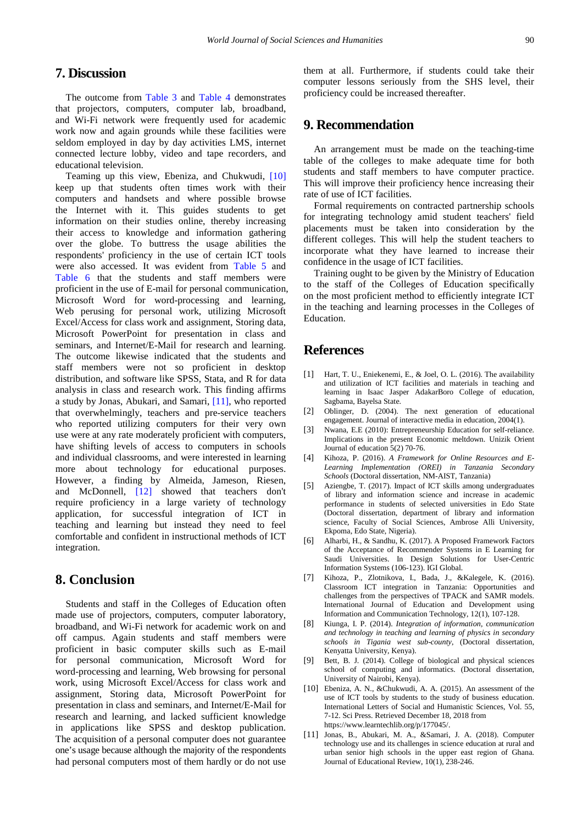# **7. Discussion**

The outcome from [Table 3](#page-2-1) and [Table 4](#page-2-2) demonstrates that projectors, computers, computer lab, broadband, and Wi-Fi network were frequently used for academic work now and again grounds while these facilities were seldom employed in day by day activities LMS, internet connected lecture lobby, video and tape recorders, and educational television.

Teaming up this view, Ebeniza, and Chukwudi, [\[10\]](#page-6-9) keep up that students often times work with their computers and handsets and where possible browse the Internet with it. This guides students to get information on their studies online, thereby increasing their access to knowledge and information gathering over the globe. To buttress the usage abilities the respondents' proficiency in the use of certain ICT tools were also accessed. It was evident from [Table 5](#page-3-0) and [Table 6](#page-5-0) that the students and staff members were proficient in the use of E-mail for personal communication, Microsoft Word for word-processing and learning, Web perusing for personal work, utilizing Microsoft Excel/Access for class work and assignment, Storing data, Microsoft PowerPoint for presentation in class and seminars, and Internet/E-Mail for research and learning. The outcome likewise indicated that the students and staff members were not so proficient in desktop distribution, and software like SPSS, Stata, and R for data analysis in class and research work. This finding affirms a study by Jonas, Abukari, and Samari, [\[11\],](#page-6-10) who reported that overwhelmingly, teachers and pre-service teachers who reported utilizing computers for their very own use were at any rate moderately proficient with computers, have shifting levels of access to computers in schools and individual classrooms, and were interested in learning more about technology for educational purposes. However, a finding by Almeida, Jameson, Riesen, and McDonnell, [\[12\]](#page-7-0) showed that teachers don't require proficiency in a large variety of technology application, for successful integration of ICT in teaching and learning but instead they need to feel comfortable and confident in instructional methods of ICT integration.

# **8. Conclusion**

Students and staff in the Colleges of Education often made use of projectors, computers, computer laboratory, broadband, and Wi-Fi network for academic work on and off campus. Again students and staff members were proficient in basic computer skills such as E-mail for personal communication, Microsoft Word for word-processing and learning, Web browsing for personal work, using Microsoft Excel/Access for class work and assignment, Storing data, Microsoft PowerPoint for presentation in class and seminars, and Internet/E-Mail for research and learning, and lacked sufficient knowledge in applications like SPSS and desktop publication. The acquisition of a personal computer does not guarantee one's usage because although the majority of the respondents had personal computers most of them hardly or do not use

them at all. Furthermore, if students could take their computer lessons seriously from the SHS level, their proficiency could be increased thereafter.

## **9. Recommendation**

An arrangement must be made on the teaching-time table of the colleges to make adequate time for both students and staff members to have computer practice. This will improve their proficiency hence increasing their rate of use of ICT facilities.

Formal requirements on contracted partnership schools for integrating technology amid student teachers' field placements must be taken into consideration by the different colleges. This will help the student teachers to incorporate what they have learned to increase their confidence in the usage of ICT facilities.

Training ought to be given by the Ministry of Education to the staff of the Colleges of Education specifically on the most proficient method to efficiently integrate ICT in the teaching and learning processes in the Colleges of Education.

### **References**

- <span id="page-6-0"></span>[1] Hart, T. U., Eniekenemi, E., & Joel, O. L. (2016). The availability and utilization of ICT facilities and materials in teaching and learning in Isaac Jasper AdakarBoro College of education, Sagbama, Bayelsa State.
- <span id="page-6-1"></span>[2] Oblinger, D. (2004). The next generation of educational engagement. Journal of interactive media in education, 2004(1).
- <span id="page-6-2"></span>[3] Nwana, E.E (2010): Entrepreneurship Education for self-reliance. Implications in the present Economic meltdown. Unizik Orient Journal of education 5(2) 70-76.
- <span id="page-6-3"></span>[4] Kihoza, P. (2016). *A Framework for Online Resources and E-Learning Implementation (OREI) in Tanzania Secondary Schools* (Doctoral dissertation, NM-AIST, Tanzania)
- <span id="page-6-4"></span>Aziengbe, T. (2017). Impact of ICT skills among undergraduates of library and information science and increase in academic performance in students of selected universities in Edo State (Doctoral dissertation, department of library and information science, Faculty of Social Sciences, Ambrose Alli University, Ekpoma, Edo State, Nigeria).
- <span id="page-6-5"></span>[6] Alharbi, H., & Sandhu, K. (2017). A Proposed Framework Factors of the Acceptance of Recommender Systems in E Learning for Saudi Universities. In Design Solutions for User-Centric Information Systems (106-123). IGI Global.
- <span id="page-6-6"></span>[7] Kihoza, P., Zlotnikova, I., Bada, J., &Kalegele, K. (2016). Classroom ICT integration in Tanzania: Opportunities and challenges from the perspectives of TPACK and SAMR models. International Journal of Education and Development using Information and Communication Technology, 12(1), 107-128.
- <span id="page-6-7"></span>[8] Kiunga, I. P. (2014). *Integration of information, communication and technology in teaching and learning of physics in secondary schools in Tigania west sub-county*, (Doctoral dissertation, Kenyatta University, Kenya).
- <span id="page-6-8"></span>[9] Bett, B. J. (2014). College of biological and physical sciences school of computing and informatics. (Doctoral dissertation, University of Nairobi, Kenya).
- <span id="page-6-9"></span>[10] Ebeniza, A. N., &Chukwudi, A. A. (2015). An assessment of the use of ICT tools by students to the study of business education. International Letters of Social and Humanistic Sciences, Vol. 55, 7-12. Sci Press. Retrieved December 18, 2018 from https://www.learntechlib.org/p/177045/.
- <span id="page-6-10"></span>[11] Jonas, B., Abukari, M. A., &Samari, J. A. (2018). Computer technology use and its challenges in science education at rural and urban senior high schools in the upper east region of Ghana. Journal of Educational Review, 10(1), 238-246.